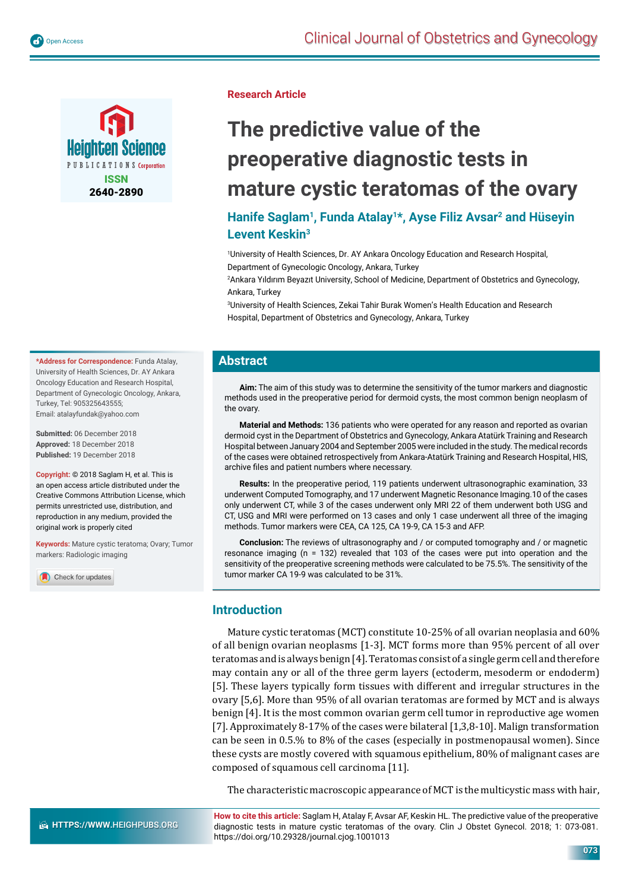



**Research Article**

# **The predictive value of the preoperative diagnostic tests in mature cystic teratomas of the ovary**

## Hanife Saglam<sup>1</sup>, Funda Atalay<sup>1\*</sup>, Ayse Filiz Avsar<sup>2</sup> and Hüseyin **Levent Keskin3**

1 University of Health Sciences, Dr. AY Ankara Oncology Education and Research Hospital, Department of Gynecologic Oncology, Ankara, Turkey

2 Ankara Yıldırım Beyazıt University, School of Medicine, Department of Obstetrics and Gynecology, Ankara, Turkey

3 University of Health Sciences, Zekai Tahir Burak Women's Health Education and Research Hospital, Department of Obstetrics and Gynecology, Ankara, Turkey

#### **Abstract**

**Aim:** The aim of this study was to determine the sensitivity of the tumor markers and diagnostic methods used in the preoperative period for dermoid cysts, the most common benign neoplasm of the ovary.

**Material and Methods:** 136 patients who were operated for any reason and reported as ovarian dermoid cyst in the Department of Obstetrics and Gynecology, Ankara Atatürk Training and Research Hospital between January 2004 and September 2005 were included in the study. The medical records of the cases were obtained retrospectively from Ankara-Atatürk Training and Research Hospital, HIS, archive files and patient numbers where necessary.

**Results:** In the preoperative period, 119 patients underwent ultrasonographic examination, 33 underwent Computed Tomography, and 17 underwent Magnetic Resonance Imaging.10 of the cases only underwent CT, while 3 of the cases underwent only MRI 22 of them underwent both USG and CT, USG and MRI were performed on 13 cases and only 1 case underwent all three of the imaging methods. Tumor markers were CEA, CA 125, CA 19-9, CA 15-3 and AFP.

**Conclusion:** The reviews of ultrasonography and / or computed tomography and / or magnetic resonance imaging (n = 132) revealed that 103 of the cases were put into operation and the sensitivity of the preoperative screening methods were calculated to be 75.5%. The sensitivity of the tumor marker CA 19-9 was calculated to be 31%.

## **Introduction**

Mature cystic teratomas (MCT) constitute 10-25% of all ovarian neoplasia and 60% of all benign ovarian neoplasms [1-3]. MCT forms more than 95% percent of all over teratomas and is always benign [4]. Teratomas consist of a single germ cell and therefore may contain any or all of the three germ layers (ectoderm, mesoderm or endoderm) [5]. These layers typically form tissues with different and irregular structures in the ovary [5,6]. More than 95% of all ovarian teratomas are formed by MCT and is always benign [4]. It is the most common ovarian germ cell tumor in reproductive age women [7]. Approximately 8-17% of the cases were bilateral [1,3,8-10]. Malign transformation can be seen in 0.5.% to 8% of the cases (especially in postmenopausal women). Since these cysts are mostly covered with squamous epithelium, 80% of malignant cases are composed of squamous cell carcinoma [11].

The characteristic macroscopic appearance of MCT is the multicystic mass with hair,

**How to cite this article:** Saglam H, Atalay F, Avsar AF, Keskin HL. The predictive value of the preoperative diagnostic tests in mature cystic teratomas of the ovary. Clin J Obstet Gynecol. 2018; 1: 073-081. https://doi.org/10.29328/journal.cjog.1001013

**\*Address for Correspondence:** Funda Atalay, University of Health Sciences, Dr. AY Ankara Oncology Education and Research Hospital, Department of Gynecologic Oncology, Ankara, Turkey, Tel: 905325643555; Email: atalayfundak@yahoo.com

**Submitted:** 06 December 2018 **Approved:** 18 December 2018 **Published:** 19 December 2018

**Copyright:** © 2018 Saglam H, et al. This is an open access article distributed under the Creative Commons Attribution License, which permits unrestricted use, distribution, and reproduction in any medium, provided the original work is properly cited

**Keywords:** Mature cystic teratoma; Ovary; Tumor markers: Radiologic imaging

Check for updates

**073**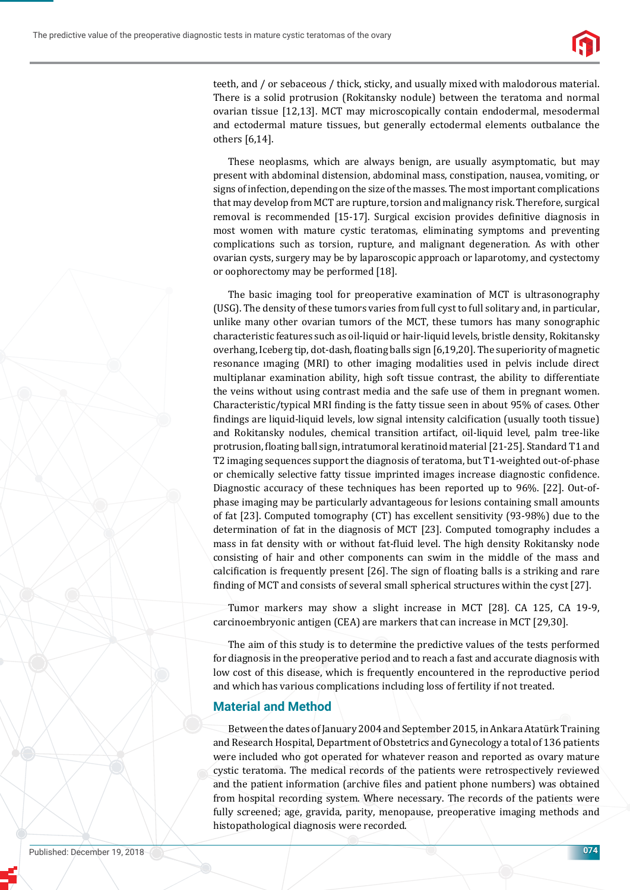

teeth, and / or sebaceous / thick, sticky, and usually mixed with malodorous material. There is a solid protrusion (Rokitansky nodule) between the teratoma and normal ovarian tissue [12,13]. MCT may microscopically contain endodermal, mesodermal and ectodermal mature tissues, but generally ectodermal elements outbalance the others [6,14].

These neoplasms, which are always benign, are usually asymptomatic, but may present with abdominal distension, abdominal mass, constipation, nausea, vomiting, or signs of infection, depending on the size of the masses. The most important complications that may develop from MCT are rupture, torsion and malignancy risk. Therefore, surgical removal is recommended [15-17]. Surgical excision provides definitive diagnosis in most women with mature cystic teratomas, eliminating symptoms and preventing complications such as torsion, rupture, and malignant degeneration. As with other ovarian cysts, surgery may be by laparoscopic approach or laparotomy, and cystectomy or oophorectomy may be performed [18].

The basic imaging tool for preoperative examination of MCT is ultrasonography (USG). The density of these tumors varies from full cyst to full solitary and, in particular, unlike many other ovarian tumors of the MCT, these tumors has many sonographic characteristic features such as oil-liquid or hair-liquid levels, bristle density, Rokitansky overhang, Iceberg tip, dot-dash, floating balls sign [6,19,20]. The superiority of magnetic resonance ımaging (MRI) to other imaging modalities used in pelvis include direct multiplanar examination ability, high soft tissue contrast, the ability to differentiate the veins without using contrast media and the safe use of them in pregnant women. Characteristic/typical MRI ϐinding is the fatty tissue seen in about 95% of cases. Other findings are liquid-liquid levels, low signal intensity calcification (usually tooth tissue) and Rokitansky nodules, chemical transition artifact, oil-liquid level, palm tree-like protrusion, floating ball sign, intratumoral keratinoid material [21-25]. Standard T1 and T2 imaging sequences support the diagnosis of teratoma, but T1-weighted out-of-phase or chemically selective fatty tissue imprinted images increase diagnostic confidence. Diagnostic accuracy of these techniques has been reported up to 96%. [22]. Out-ofphase imaging may be particularly advantageous for lesions containing small amounts of fat [23]. Computed tomography (CT) has excellent sensitivity (93-98%) due to the determination of fat in the diagnosis of MCT [23]. Computed tomography includes a mass in fat density with or without fat-fluid level. The high density Rokitansky node consisting of hair and other components can swim in the middle of the mass and calcification is frequently present [26]. The sign of floating balls is a striking and rare finding of MCT and consists of several small spherical structures within the cyst [27].

Tumor markers may show a slight increase in MCT [28]. CA 125, CA 19-9, carcinoembryonic antigen (CEA) are markers that can increase in MCT [29,30].

The aim of this study is to determine the predictive values of the tests performed for diagnosis in the preoperative period and to reach a fast and accurate diagnosis with low cost of this disease, which is frequently encountered in the reproductive period and which has various complications including loss of fertility if not treated.

## **Material and Method**

Between the dates of January 2004 and September 2015, in Ankara Atatürk Training and Research Hospital, Department of Obstetrics and Gynecology a total of 136 patients were included who got operated for whatever reason and reported as ovary mature cystic teratoma. The medical records of the patients were retrospectively reviewed and the patient information (archive files and patient phone numbers) was obtained from hospital recording system. Where necessary. The records of the patients were fully screened; age, gravida, parity, menopause, preoperative imaging methods and histopathological diagnosis were recorded.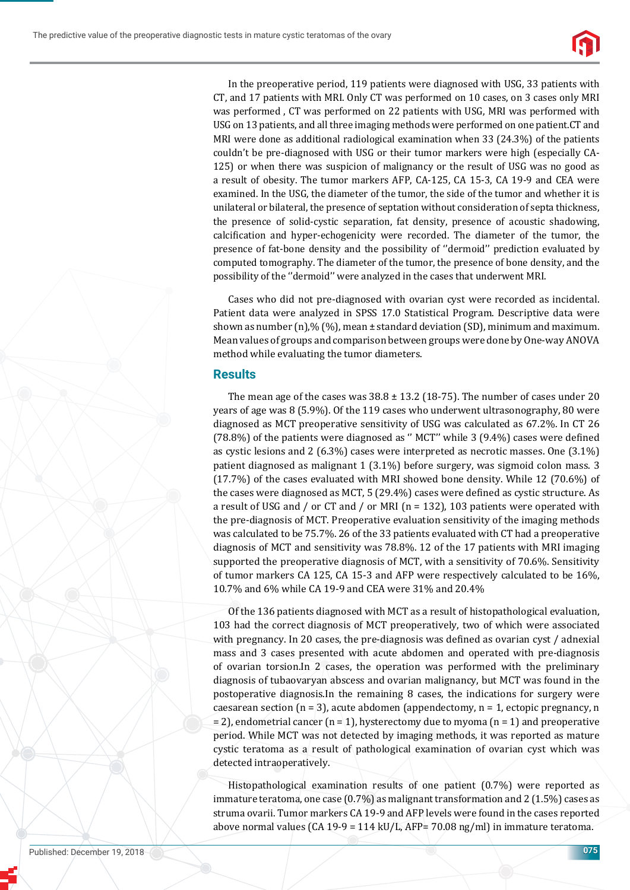

In the preoperative period, 119 patients were diagnosed with USG, 33 patients with CT, and 17 patients with MRI. Only CT was performed on 10 cases, on 3 cases only MRI was performed , CT was performed on 22 patients with USG, MRI was performed with USG on 13 patients, and all three imaging methods were performed on one patient.CT and MRI were done as additional radiological examination when 33 (24.3%) of the patients couldn't be pre-diagnosed with USG or their tumor markers were high (especially CA-125) or when there was suspicion of malignancy or the result of USG was no good as a result of obesity. The tumor markers AFP, CA-125, CA 15-3, CA 19-9 and CEA were examined. In the USG, the diameter of the tumor, the side of the tumor and whether it is unilateral or bilateral, the presence of septation without consideration of septa thickness, the presence of solid-cystic separation, fat density, presence of acoustic shadowing, calcification and hyper-echogenicity were recorded. The diameter of the tumor, the presence of fat-bone density and the possibility of ''dermoid'' prediction evaluated by computed tomography. The diameter of the tumor, the presence of bone density, and the possibility of the ''dermoid'' were analyzed in the cases that underwent MRI.

Cases who did not pre-diagnosed with ovarian cyst were recorded as incidental. Patient data were analyzed in SPSS 17.0 Statistical Program. Descriptive data were shown as number (n),% (%), mean ± standard deviation (SD), minimum and maximum. Mean values of groups and comparison between groups were done by One-way ANOVA method while evaluating the tumor diameters.

#### **Results**

The mean age of the cases was  $38.8 \pm 13.2$  (18-75). The number of cases under 20 years of age was 8 (5.9%). Of the 119 cases who underwent ultrasonography, 80 were diagnosed as MCT preoperative sensitivity of USG was calculated as 67.2%. In CT 26  $(78.8%)$  of the patients were diagnosed as " MCT" while 3  $(9.4%)$  cases were defined as cystic lesions and 2 (6.3%) cases were interpreted as necrotic masses. One (3.1%) patient diagnosed as malignant 1 (3.1%) before surgery, was sigmoid colon mass. 3 (17.7%) of the cases evaluated with MRI showed bone density. While 12 (70.6%) of the cases were diagnosed as MCT, 5 (29.4%) cases were defined as cystic structure. As a result of USG and / or CT and / or MRI ( $n = 132$ ), 103 patients were operated with the pre-diagnosis of MCT. Preoperative evaluation sensitivity of the imaging methods was calculated to be 75.7%. 26 of the 33 patients evaluated with CT had a preoperative diagnosis of MCT and sensitivity was 78.8%. 12 of the 17 patients with MRI imaging supported the preoperative diagnosis of MCT, with a sensitivity of 70.6%. Sensitivity of tumor markers CA 125, CA 15-3 and AFP were respectively calculated to be 16%, 10.7% and 6% while CA 19-9 and CEA were 31% and 20.4%

Of the 136 patients diagnosed with MCT as a result of histopathological evaluation, 103 had the correct diagnosis of MCT preoperatively, two of which were associated with pregnancy. In 20 cases, the pre-diagnosis was defined as ovarian cyst / adnexial mass and 3 cases presented with acute abdomen and operated with pre-diagnosis of ovarian torsion.In 2 cases, the operation was performed with the preliminary diagnosis of tubaovaryan abscess and ovarian malignancy, but MCT was found in the postoperative diagnosis.In the remaining 8 cases, the indications for surgery were caesarean section ( $n = 3$ ), acute abdomen (appendectomy,  $n = 1$ , ectopic pregnancy, n  $= 2$ ), endometrial cancer (n = 1), hysterectomy due to myoma (n = 1) and preoperative period. While MCT was not detected by imaging methods, it was reported as mature cystic teratoma as a result of pathological examination of ovarian cyst which was detected intraoperatively.

Histopathological examination results of one patient (0.7%) were reported as immature teratoma, one case (0.7%) as malignant transformation and 2 (1.5%) cases as struma ovarii. Tumor markers CA 19-9 and AFP levels were found in the cases reported above normal values (CA 19-9 = 114 kU/L, AFP= 70.08 ng/ml) in immature teratoma.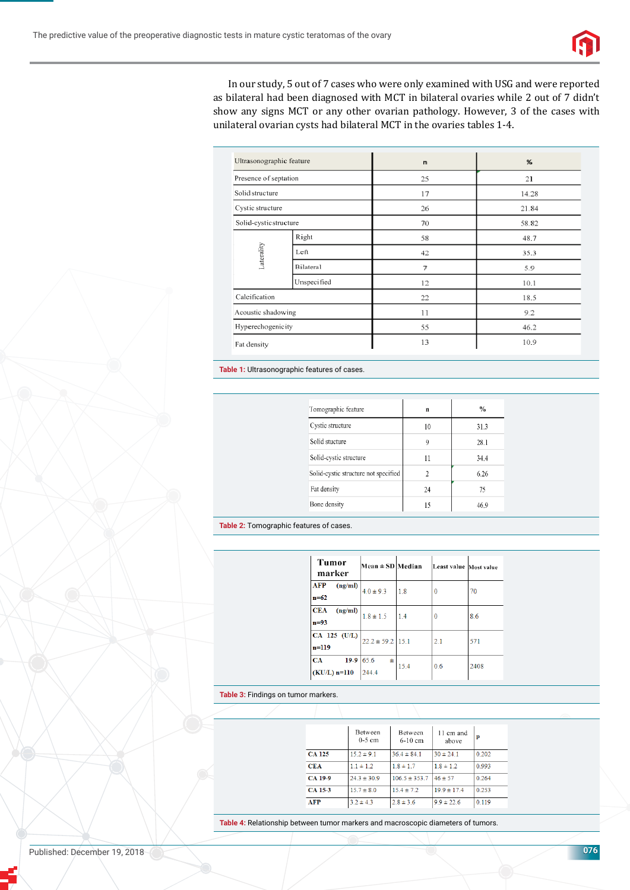

In our study, 5 out of 7 cases who were only examined with USG and were reported as bilateral had been diagnosed with MCT in bilateral ovaries while 2 out of 7 didn't show any signs MCT or any other ovarian pathology. However, 3 of the cases with unilateral ovarian cysts had bilateral MCT in the ovaries tables 1-4.

| Ultrasonographic feature |             | $\mathsf{n}$ | %     |
|--------------------------|-------------|--------------|-------|
| Presence of septation    |             | 25           | 21    |
| Solid structure          |             | 17           | 14.28 |
| Cystic structure         |             | 26           | 21.84 |
| Solid-cystic structure   |             | 70           | 58.82 |
|                          | Right       | 58           | 48.7  |
| Laterality               | Left        | 42           | 35.3  |
|                          | Bilateral   | 7            | 5.9   |
|                          | Unspecified | 12           | 10.1  |
| Calcification            |             | 22           | 18.5  |
| Acoustic shadowing       |             | 11           | 9.2   |
| Hyperechogenicity        |             | 55           | 46.2  |
| Fat density              |             | 13           | 10.9  |

**Table 1:** Ultrasonographic features of cases.

| Tomographic feature                  | $\mathbf n$ | $\frac{0}{0}$ |  |
|--------------------------------------|-------------|---------------|--|
| Cystic structure                     | 10          | 31.3          |  |
| Solid stucture                       | Q           | 28.1          |  |
| Solid-cystic structure               | 11          | 34.4          |  |
| Solid-cystic structure not specified | 2           | 6.26          |  |
| Fat density                          | 24          | 75            |  |
| Bone density                         | 15          | 46.9          |  |

**Table 2:** Tomographic features of cases.

| Tumor<br>marker                     | Mean $\pm$ SD Median |      | Least value Most value |      |
|-------------------------------------|----------------------|------|------------------------|------|
| <b>AFP</b><br>(ng/ml)<br>$n = 62$   | $40 \pm 93$          | 18   | 0                      | 70   |
| <b>CEA</b><br>(ng/ml)<br>$n=93$     | $1.8 \pm 1.5$        | 1.4  | 0                      | 8.6  |
| CA 125 (U/L)<br>$n=119$             | $22.2 \pm 59.2$ 15.1 |      | 2.1                    | 571  |
| $19-9$ 65.6<br>CA<br>$(KU/L)$ n=110 | Ŧ<br>244.4           | 15.4 | 0.6                    | 2408 |

#### **Table 3:** Findings on tumor markers.

|               | Between<br>$0-5$ cm | Between<br>$6-10$ cm | 11 cm and<br>above | р     |
|---------------|---------------------|----------------------|--------------------|-------|
| <b>CA 125</b> | $15.2 \pm 9.1$      | $36.4 \pm 84.1$      | $30 \pm 24.1$      | 0.202 |
| <b>CEA</b>    | $1.1 \pm 1.2$       | $1.8 \pm 1.7$        | $1.8 \pm 1.2$      | 0.993 |
| CA 19-9       | $24.3 \pm 30.9$     | $106.5 \pm 353.7$    | $46 \pm 57$        | 0.264 |
| CA 15-3       | $15.7 \pm 8.0$      | $15.4 \pm 7.2$       | $19.9 \pm 17.4$    | 0.253 |
| <b>AFP</b>    | $3.2 \pm 4.3$       | $2.8 \pm 3.6$        | $9.9 \pm 22.6$     | 0.119 |

**Table 4:** Relationship between tumor markers and macroscopic diameters of tumors.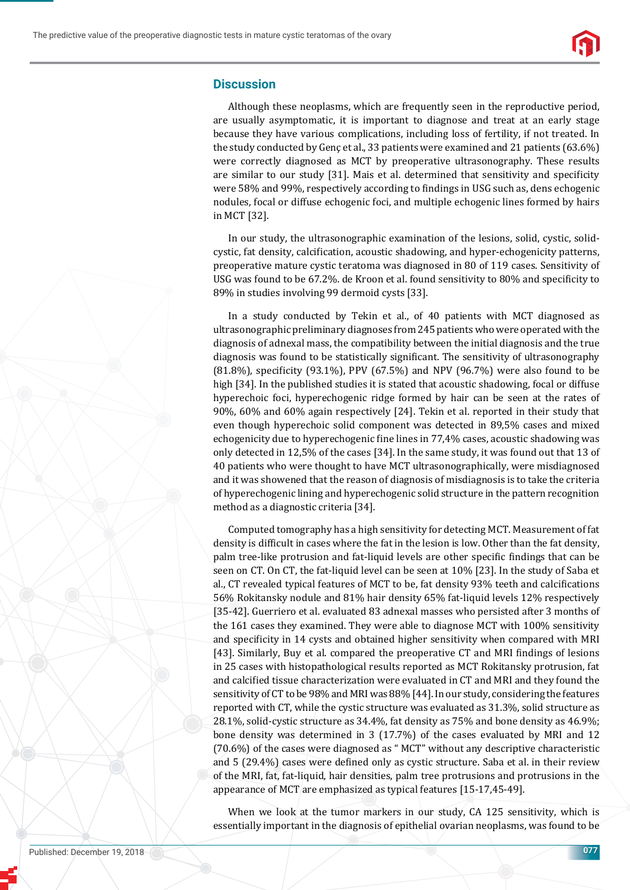

#### **Discussion**

Although these neoplasms, which are frequently seen in the reproductive period, are usually asymptomatic, it is important to diagnose and treat at an early stage because they have various complications, including loss of fertility, if not treated. In the study conducted by Genç et al., 33 patients were examined and 21 patients (63.6%) were correctly diagnosed as MCT by preoperative ultrasonography. These results are similar to our study [31]. Mais et al. determined that sensitivity and specificity were 58% and 99%, respectively according to findings in USG such as, dens echogenic nodules, focal or diffuse echogenic foci, and multiple echogenic lines formed by hairs in MCT [32].

In our study, the ultrasonographic examination of the lesions, solid, cystic, solidcystic, fat density, calcification, acoustic shadowing, and hyper-echogenicity patterns, preoperative mature cystic teratoma was diagnosed in 80 of 119 cases. Sensitivity of USG was found to be  $67.2\%$ . de Kroon et al. found sensitivity to  $80\%$  and specificity to 89% in studies involving 99 dermoid cysts [33].

In a study conducted by Tekin et al., of 40 patients with MCT diagnosed as ultrasonographic preliminary diagnoses from 245 patients who were operated with the diagnosis of adnexal mass, the compatibility between the initial diagnosis and the true diagnosis was found to be statistically significant. The sensitivity of ultrasonography  $(81.8\%)$ , specificity  $(93.1\%)$ , PPV  $(67.5\%)$  and NPV  $(96.7\%)$  were also found to be high [34]. In the published studies it is stated that acoustic shadowing, focal or diffuse hyperechoic foci, hyperechogenic ridge formed by hair can be seen at the rates of 90%, 60% and 60% again respectively [24]. Tekin et al. reported in their study that even though hyperechoic solid component was detected in 89,5% cases and mixed echogenicity due to hyperechogenic fine lines in 77,4% cases, acoustic shadowing was only detected in 12,5% of the cases [34]. In the same study, it was found out that 13 of 40 patients who were thought to have MCT ultrasonographically, were misdiagnosed and it was showened that the reason of diagnosis of misdiagnosis is to take the criteria of hyperechogenic lining and hyperechogenic solid structure in the pattern recognition method as a diagnostic criteria [34].

Computed tomography has a high sensitivity for detecting MCT. Measurement of fat density is difficult in cases where the fat in the lesion is low. Other than the fat density, palm tree-like protrusion and fat-liquid levels are other specific findings that can be seen on CT. On CT, the fat-liquid level can be seen at 10% [23]. In the study of Saba et al., CT revealed typical features of MCT to be, fat density 93% teeth and calcifications 56% Rokitansky nodule and 81% hair density 65% fat-liquid levels 12% respectively [35-42]. Guerriero et al. evaluated 83 adnexal masses who persisted after 3 months of the 161 cases they examined. They were able to diagnose MCT with 100% sensitivity and specificity in 14 cysts and obtained higher sensitivity when compared with MRI [43]. Similarly, Buy et al. compared the preoperative CT and MRI findings of lesions in 25 cases with histopathological results reported as MCT Rokitansky protrusion, fat and calcified tissue characterization were evaluated in CT and MRI and they found the sensitivity of CT to be 98% and MRI was 88% [44]. In our study, considering the features reported with CT, while the cystic structure was evaluated as 31.3%, solid structure as 28.1%, solid-cystic structure as 34.4%, fat density as 75% and bone density as 46.9%; bone density was determined in 3 (17.7%) of the cases evaluated by MRI and 12 (70.6%) of the cases were diagnosed as " MCT" without any descriptive characteristic and 5 (29.4%) cases were defined only as cystic structure. Saba et al. in their review of the MRI, fat, fat-liquid, hair densities, palm tree protrusions and protrusions in the appearance of MCT are emphasized as typical features [15-17,45-49].

When we look at the tumor markers in our study, CA 125 sensitivity, which is essentially important in the diagnosis of epithelial ovarian neoplasms, was found to be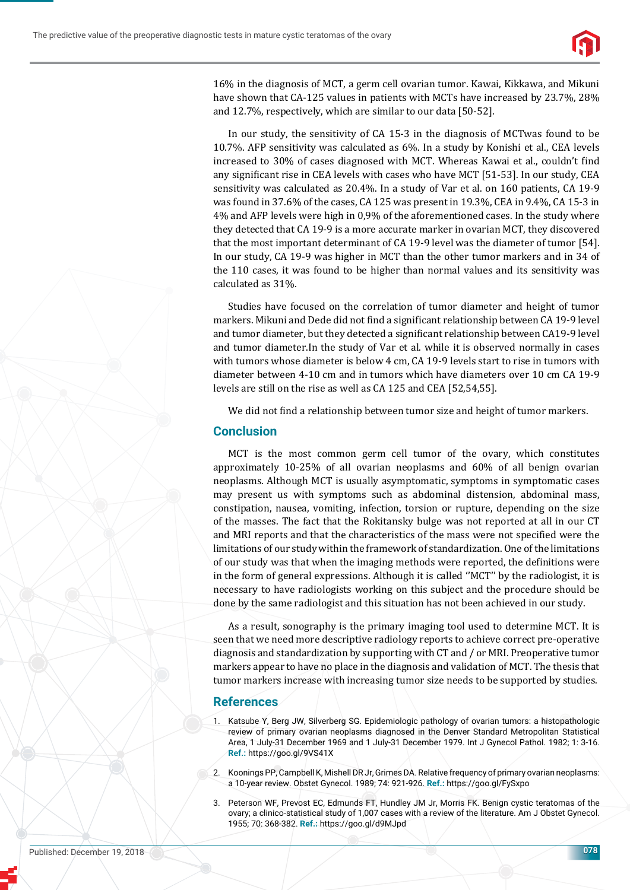

16% in the diagnosis of MCT, a germ cell ovarian tumor. Kawai, Kikkawa, and Mikuni have shown that CA-125 values in patients with MCTs have increased by 23.7%, 28% and 12.7%, respectively, which are similar to our data [50-52].

In our study, the sensitivity of CA 15-3 in the diagnosis of MCTwas found to be 10.7%. AFP sensitivity was calculated as 6%. In a study by Konishi et al., CEA levels increased to 30% of cases diagnosed with MCT. Whereas Kawai et al., couldn't find any significant rise in CEA levels with cases who have MCT [51-53]. In our study, CEA sensitivity was calculated as 20.4%. In a study of Var et al. on 160 patients, CA 19-9 was found in 37.6% of the cases, CA 125 was present in 19.3%, CEA in 9.4%, CA 15-3 in 4% and AFP levels were high in 0,9% of the aforementioned cases. In the study where they detected that CA 19-9 is a more accurate marker in ovarian MCT, they discovered that the most important determinant of CA 19-9 level was the diameter of tumor [54]. In our study, CA 19-9 was higher in MCT than the other tumor markers and in 34 of the 110 cases, it was found to be higher than normal values and its sensitivity was calculated as 31%.

Studies have focused on the correlation of tumor diameter and height of tumor markers. Mikuni and Dede did not find a significant relationship between CA 19-9 level and tumor diameter, but they detected a significant relationship between CA19-9 level and tumor diameter.In the study of Var et al. while it is observed normally in cases with tumors whose diameter is below 4 cm, CA 19-9 levels start to rise in tumors with diameter between 4-10 cm and in tumors which have diameters over 10 cm CA 19-9 levels are still on the rise as well as CA 125 and CEA [52,54,55].

We did not find a relationship between tumor size and height of tumor markers.

#### **Conclusion**

MCT is the most common germ cell tumor of the ovary, which constitutes approximately 10-25% of all ovarian neoplasms and 60% of all benign ovarian neoplasms. Although MCT is usually asymptomatic, symptoms in symptomatic cases may present us with symptoms such as abdominal distension, abdominal mass, constipation, nausea, vomiting, infection, torsion or rupture, depending on the size of the masses. The fact that the Rokitansky bulge was not reported at all in our CT and MRI reports and that the characteristics of the mass were not specified were the limitations of our study within the framework of standardization. One of the limitations of our study was that when the imaging methods were reported, the definitions were in the form of general expressions. Although it is called ''MCT'' by the radiologist, it is necessary to have radiologists working on this subject and the procedure should be done by the same radiologist and this situation has not been achieved in our study.

As a result, sonography is the primary imaging tool used to determine MCT. It is seen that we need more descriptive radiology reports to achieve correct pre-operative diagnosis and standardization by supporting with CT and / or MRI. Preoperative tumor markers appear to have no place in the diagnosis and validation of MCT. The thesis that tumor markers increase with increasing tumor size needs to be supported by studies.

#### **References**

- 1. Katsube Y, Berg JW, Silverberg SG. Epidemiologic pathology of ovarian tumors: a histopathologic review of primary ovarian neoplasms diagnosed in the Denver Standard Metropolitan Statistical Area, 1 July-31 December 1969 and 1 July-31 December 1979. Int J Gynecol Pathol. 1982; 1: 3-16. **Ref.:** https://goo.gl/9VS41X
- 2. Koonings PP, Campbell K, Mishell DR Jr, Grimes DA. Relative frequency of primary ovarian neoplasms: a 10-year review. Obstet Gynecol. 1989; 74: 921-926. **Ref.:** https://goo.gl/FySxpo
- 3. Peterson WF, Prevost EC, Edmunds FT, Hundley JM Jr, Morris FK. Benign cystic teratomas of the ovary; a clinico-statistical study of 1,007 cases with a review of the literature. Am J Obstet Gynecol. 1955; 70: 368-382. **Ref.:** https://goo.gl/d9MJpd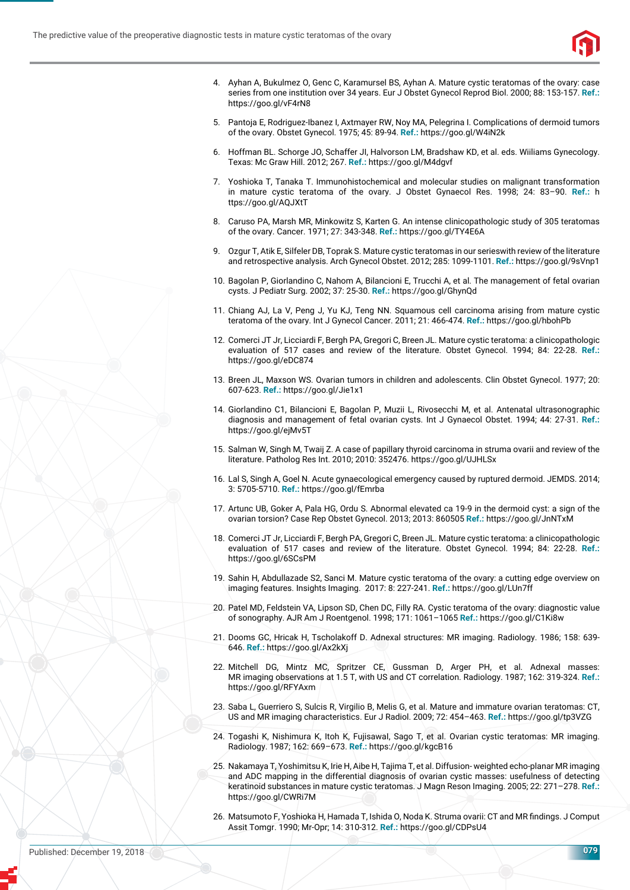

- 4. Ayhan A, Bukulmez O, Genc C, Karamursel BS, Ayhan A. Mature cystic teratomas of the ovary: case series from one institution over 34 years. Eur J Obstet Gynecol Reprod Biol. 2000; 88: 153-157. **Ref.:** https://goo.gl/vF4rN8
- 5. Pantoja E, Rodriguez-Ibanez I, Axtmayer RW, Noy MA, Pelegrina I. Complications of dermoid tumors of the ovary. Obstet Gynecol. 1975; 45: 89-94. **Ref.:** https://goo.gl/W4iN2k
- 6. Hoffman BL. Schorge JO, Schaffer JI, Halvorson LM, Bradshaw KD, et al. eds. Wiiliams Gynecology. Texas: Mc Graw Hill. 2012; 267. **Ref.:** https://goo.gl/M4dgvf
- 7. Yoshioka T, Tanaka T. Immunohistochemical and molecular studies on malignant transformation in mature cystic teratoma of the ovary. J Obstet Gynaecol Res. 1998; 24: 83–90. **Ref.:** h ttps://goo.gl/AQJXtT
- 8. Caruso PA, Marsh MR, Minkowitz S, Karten G. An intense clinicopathologic study of 305 teratomas of the ovary. Cancer. 1971; 27: 343-348. **Ref.:** https://goo.gl/TY4E6A
- 9. Ozgur T, Atik E, Silfeler DB, Toprak S. Mature cystic teratomas in our serieswith review of the literature and retrospective analysis. Arch Gynecol Obstet. 2012; 285: 1099-1101. **Ref.:** https://goo.gl/9sVnp1
- 10. Bagolan P, Giorlandino C, Nahom A, Bilancioni E, Trucchi A, et al. The management of fetal ovarian cysts. J Pediatr Surg. 2002; 37: 25-30. **Ref.:** https://goo.gl/GhynQd
- 11. Chiang AJ, La V, Peng J, Yu KJ, Teng NN. Squamous cell carcinoma arising from mature cystic teratoma of the ovary. Int J Gynecol Cancer. 2011; 21: 466-474. **Ref.:** https://goo.gl/hbohPb
- 12. Comerci JT Jr, Licciardi F, Bergh PA, Gregori C, Breen JL. Mature cystic teratoma: a clinicopathologic evaluation of 517 cases and review of the literature. Obstet Gynecol. 1994; 84: 22-28. **Ref.:** https://goo.gl/eDC874
- 13. Breen JL, Maxson WS. Ovarian tumors in children and adolescents. Clin Obstet Gynecol. 1977; 20: 607-623. **Ref.:** https://goo.gl/Jie1x1
- 14. Giorlandino C1, Bilancioni E, Bagolan P, Muzii L, Rivosecchi M, et al. Antenatal ultrasonographic diagnosis and management of fetal ovarian cysts. Int J Gynaecol Obstet. 1994; 44: 27-31. **Ref.:** https://goo.gl/ejMv5T
- 15. Salman W, Singh M, Twaij Z. A case of papillary thyroid carcinoma in struma ovarii and review of the literature. Patholog Res Int. 2010; 2010: 352476. https://goo.gl/UJHLSx
- 16. Lal S, Singh A, Goel N. Acute gynaecological emergency caused by ruptured dermoid. JEMDS. 2014; 3: 5705-5710. **Ref.:** https://goo.gl/fEmrba
- 17. Artunc UB, Goker A, Pala HG, Ordu S. Abnormal elevated ca 19-9 in the dermoid cyst: a sign of the ovarian torsion? Case Rep Obstet Gynecol. 2013; 2013: 860505 **Ref.:** https://goo.gl/JnNTxM
- 18. Comerci JT Jr, Licciardi F, Bergh PA, Gregori C, Breen JL. Mature cystic teratoma: a clinicopathologic evaluation of 517 cases and review of the literature. Obstet Gynecol. 1994; 84: 22-28. **Ref.:** https://goo.gl/6SCsPM
- 19. Sahin H, Abdullazade S2, Sanci M. Mature cystic teratoma of the ovary: a cutting edge overview on imaging features. Insights Imaging. 2017: 8: 227-241. **Ref.:** https://goo.gl/LUn7ff
- 20. Patel MD, Feldstein VA, Lipson SD, Chen DC, Filly RA. Cystic teratoma of the ovary: diagnostic value of sonography. AJR Am J Roentgenol. 1998; 171: 1061–1065 **Ref.:** https://goo.gl/C1Ki8w
- 21. Dooms GC, Hricak H, Tscholakoff D. Adnexal structures: MR imaging. Radiology. 1986; 158: 639- 646. **Ref.:** https://goo.gl/Ax2kXj
- 22. Mitchell DG, Mintz MC, Spritzer CE, Gussman D, Arger PH, et al. Adnexal masses: MR imaging observations at 1.5 T, with US and CT correlation. Radiology. 1987; 162: 319-324. **Ref.:** https://goo.gl/RFYAxm
- 23. Saba L, Guerriero S, Sulcis R, Virgilio B, Melis G, et al. Mature and immature ovarian teratomas: CT, US and MR imaging characteristics. Eur J Radiol. 2009; 72: 454–463. **Ref.:** https://goo.gl/tp3VZG
- 24. Togashi K, Nishimura K, Itoh K, FujisawaI, Sago T, et al. Ovarian cystic teratomas: MR imaging. Radiology. 1987; 162: 669–673. **Ref.:** https://goo.gl/kgcB16
- 25. Nakamaya T, Yoshimitsu K, Irie H, Aibe H, Tajima T, et al. Diffusion- weighted echo-planar MR imaging and ADC mapping in the differential diagnosis of ovarian cystic masses: usefulness of detecting keratinoid substances in mature cystic teratomas. J Magn Reson Imaging. 2005; 22: 271–278. **Ref.:** https://goo.gl/CWRi7M
- 26. Matsumoto F, Yoshioka H, Hamada T, Ishida O, Noda K. Struma ovarii: CT and MR findings. J Comput Assit Tomgr. 1990; Mr-Opr; 14: 310-312. **Ref.:** https://goo.gl/CDPsU4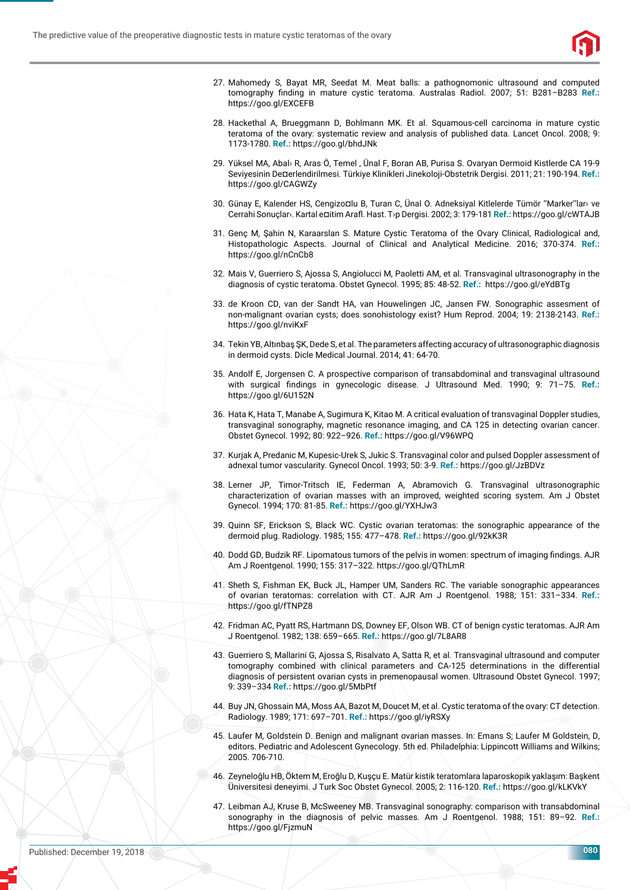

- 27. Mahomedy S, Bayat MR, Seedat M. Meat balls: a pathognomonic ultrasound and computed tomography finding in mature cystic teratoma. Australas Radiol. 2007; 51: B281-B283 Ref.: https://goo.gl/EXCEFB
- 28. Hackethal A, Brueggmann D, Bohlmann MK. Et al. Squamous-cell carcinoma in mature cystic teratoma of the ovary: systematic review and analysis of published data. Lancet Oncol. 2008; 9: 1173-1780. **Ref.:** https://goo.gl/bhdJNk
- 29. Yüksel MA, Abal› R, Aras Ö, Temel , Ünal F, Boran AB, Purisa S. Ovaryan Dermoid Kistlerde CA 19-9 Seviyesinin De¤erlendirilmesi. Türkiye Klinikleri Jinekoloji-Obstetrik Dergisi. 2011; 21: 190-194. **Ref.:** https://goo.gl/CAGWZy
- 30. Günay E, Kalender HS, Cengizo¤lu B, Turan C, Ünal O. Adneksiyal Kitlelerde Tümör "Marker"lar› ve Cerrahi Sonuçlar›. Kartal e¤itim Arafl . Hast. T›p Dergisi. 2002; 3: 179-181 **Ref.:** https://goo.gl/cWTAJB
- 31. Genç M, Şahin N, Karaarslan S. Mature Cystic Teratoma of the Ovary Clinical, Radiological and, Histopathologic Aspects. Journal of Clinical and Analytical Medicine. 2016; 370-374. **Ref.:** https://goo.gl/nCnCb8
- 32. Mais V, Guerriero S, Ajossa S, Angiolucci M, Paoletti AM, et al. Transvaginal ultrasonography in the diagnosis of cystic teratoma. Obstet Gynecol. 1995; 85: 48-52. **Ref.:** https://goo.gl/eYdBTg
- 33. de Kroon CD, van der Sandt HA, van Houwelingen JC, Jansen FW. Sonographic assesment of non-malignant ovarian cysts; does sonohistology exist? Hum Reprod. 2004; 19: 2138-2143. **Ref.:** https://goo.gl/nviKxF
- 34. Tekin YB, Altınbaş ŞK, Dede S, et al. The parameters affecting accuracy of ultrasonographic diagnosis in dermoid cysts. Dicle Medical Journal. 2014; 41: 64-70.
- 35. Andolf E, Jorgensen C. A prospective comparison of transabdominal and transvaginal ultrasound with surgical findings in gynecologic disease. J Ultrasound Med. 1990; 9: 71-75. Ref.: https://goo.gl/6U152N
- 36. Hata K, Hata T, Manabe A, Sugimura K, Kitao M. A critical evaluation of transvaginal Doppler studies, transvaginal sonography, magnetic resonance imaging, and CA 125 in detecting ovarian cancer. Obstet Gynecol. 1992; 80: 922–926. **Ref.:** https://goo.gl/V96WPQ
- 37. Kurjak A, Predanic M, Kupesic-Urek S, Jukic S. Transvaginal color and pulsed Doppler assessment of adnexal tumor vascularity. Gynecol Oncol. 1993; 50: 3-9. **Ref.:** https://goo.gl/JzBDVz
- 38. Lerner JP, Timor-Tritsch IE, Federman A, Abramovich G. Transvaginal ultrasonographic characterization of ovarian masses with an improved, weighted scoring system. Am J Obstet Gynecol. 1994; 170: 81-85. **Ref.:** https://goo.gl/YXHJw3
- 39. Quinn SF, Erickson S, Black WC. Cystic ovarian teratomas: the sonographic appearance of the dermoid plug. Radiology. 1985; 155: 477–478. **Ref.:** https://goo.gl/92kK3R
- 40. Dodd GD, Budzik RF. Lipomatous tumors of the pelvis in women: spectrum of imaging findings. AJR Am J Roentgenol. 1990; 155: 317–322. https://goo.gl/QThLmR
- 41. Sheth S, Fishman EK, Buck JL, Hamper UM, Sanders RC. The variable sonographic appearances of ovarian teratomas: correlation with CT. AJR Am J Roentgenol. 1988; 151: 331–334. **Ref.:** https://goo.gl/fTNPZ8
- 42. Fridman AC, Pyatt RS, Hartmann DS, Downey EF, Olson WB. CT of benign cystic teratomas. AJR Am J Roentgenol. 1982; 138: 659–665. **Ref.:** https://goo.gl/7L8AR8
- 43. Guerriero S, Mallarini G, Ajossa S, Risalvato A, Satta R, et al. Transvaginal ultrasound and computer tomography combined with clinical parameters and CA-125 determinations in the differential diagnosis of persistent ovarian cysts in premenopausal women. Ultrasound Obstet Gynecol. 1997; 9: 339–334 **Ref.:** https://goo.gl/5MbPtf
- 44. Buy JN, Ghossain MA, Moss AA, Bazot M, Doucet M, et al. Cystic teratoma of the ovary: CT detection. Radiology. 1989; 171: 697–701. **Ref.:** https://goo.gl/iyRSXy
- 45. Laufer M, Goldstein D, Benign and malignant ovarian masses. In: Emans S; Laufer M Goldstein, D, editors. Pediatric and Adolescent Gynecology. 5th ed. Philadelphia: Lippincott Williams and Wilkins; 2005. 706-710.
- 46. Zeyneloğlu HB, Öktem M, Eroğlu D, Kuşçu E. Matür kistik teratomlara la paroskopik yaklaşım: Başkent Üniversitesi deneyimi. J Turk Soc Obstet Gynecol. 2005; 2: 116-120. **Ref.:** https://goo.gl/kLKVkY
- 47. Leibman AJ, Kruse B, McSweeney MB. Transvaginal sonography: comparison with transabdominal sonography in the diagnosis of pelvic masses. Am J Roentgenol. 1988; 151: 89–92. **Ref.:** https://goo.gl/FjzmuN